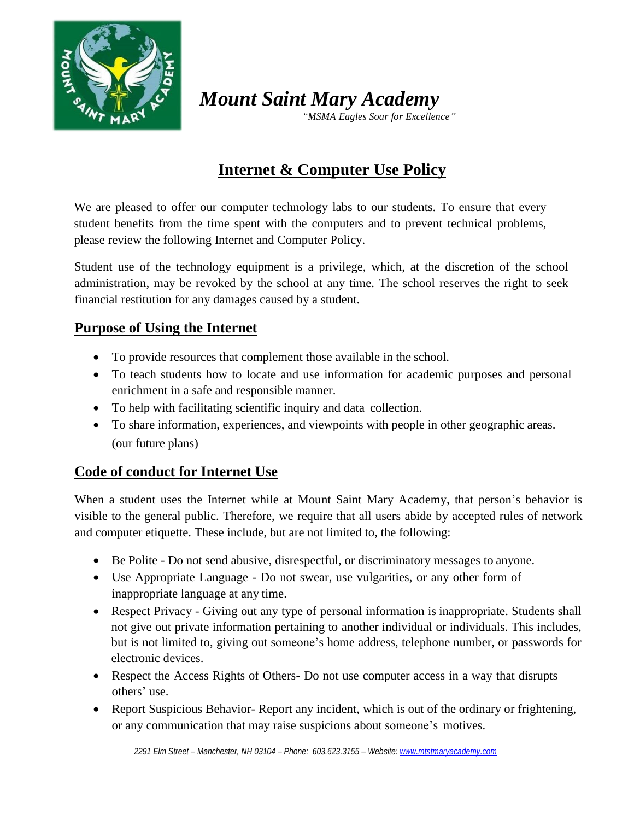

*Mount Saint Mary Academy*

 *"MSMA Eagles Soar for Excellence"*

# **Internet & Computer Use Policy**

We are pleased to offer our computer technology labs to our students. To ensure that every student benefits from the time spent with the computers and to prevent technical problems, please review the following Internet and Computer Policy.

Student use of the technology equipment is a privilege, which, at the discretion of the school administration, may be revoked by the school at any time. The school reserves the right to seek financial restitution for any damages caused by a student.

#### **Purpose of Using the Internet**

- To provide resources that complement those available in the school.
- To teach students how to locate and use information for academic purposes and personal enrichment in a safe and responsible manner.
- To help with facilitating scientific inquiry and data collection.
- To share information, experiences, and viewpoints with people in other geographic areas. (our future plans)

### **Code of conduct for Internet Use**

When a student uses the Internet while at Mount Saint Mary Academy, that person's behavior is visible to the general public. Therefore, we require that all users abide by accepted rules of network and computer etiquette. These include, but are not limited to, the following:

- Be Polite Do not send abusive, disrespectful, or discriminatory messages to anyone.
- Use Appropriate Language Do not swear, use vulgarities, or any other form of inappropriate language at any time.
- Respect Privacy Giving out any type of personal information is inappropriate. Students shall not give out private information pertaining to another individual or individuals. This includes, but is not limited to, giving out someone's home address, telephone number, or passwords for electronic devices.
- Respect the Access Rights of Others- Do not use computer access in a way that disrupts others' use.
- Report Suspicious Behavior-Report any incident, which is out of the ordinary or frightening, or any communication that may raise suspicions about someone's motives.